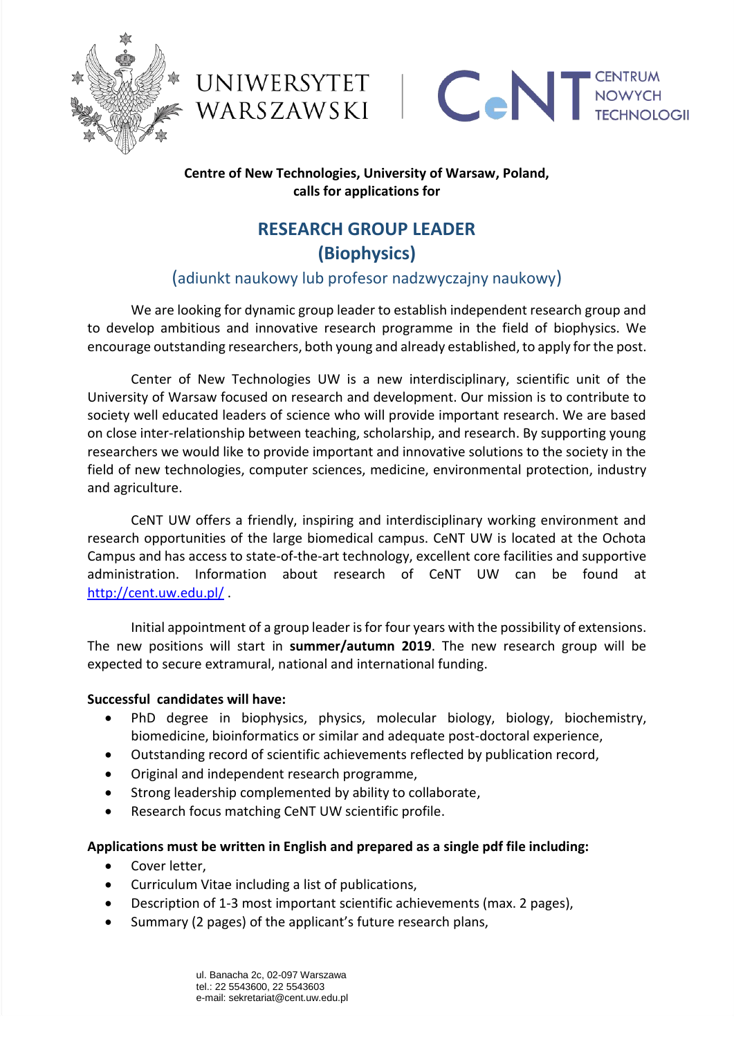





### **Centre of New Technologies, University of Warsaw, Poland, calls for applications for**

# **RESEARCH GROUP LEADER (Biophysics)**

## (adiunkt naukowy lub profesor nadzwyczajny naukowy)

We are looking for dynamic group leader to establish independent research group and to develop ambitious and innovative research programme in the field of biophysics. We encourage outstanding researchers, both young and already established, to apply for the post.

Center of New Technologies UW is a new interdisciplinary, scientific unit of the University of Warsaw focused on research and development. Our mission is to contribute to society well educated leaders of science who will provide important research. We are based on close inter-relationship between teaching, scholarship, and research. By supporting young researchers we would like to provide important and innovative solutions to the society in the field of new technologies, computer sciences, medicine, environmental protection, industry and agriculture.

CeNT UW offers a friendly, inspiring and interdisciplinary working environment and research opportunities of the large biomedical campus. CeNT UW is located at the Ochota Campus and has access to state-of-the-art technology, excellent core facilities and supportive administration. Information about research of CeNT UW can be found at [http://cent.uw.edu.pl/](http://cent.uw.edu.pl/en/laboratories/#remedy) .

Initial appointment of a group leader is for four years with the possibility of extensions. The new positions will start in **summer/autumn 2019**. The new research group will be expected to secure extramural, national and international funding.

#### **Successful candidates will have:**

- PhD degree in biophysics, physics, molecular biology, biology, biochemistry, biomedicine, bioinformatics or similar and adequate post-doctoral experience,
- Outstanding record of scientific achievements reflected by publication record,
- Original and independent research programme,
- Strong leadership complemented by ability to collaborate,
- Research focus matching CeNT UW scientific profile.

#### **Applications must be written in English and prepared as a single pdf file including:**

- Cover letter,
- Curriculum Vitae including a list of publications,
- Description of 1-3 most important scientific achievements (max. 2 pages),
- Summary (2 pages) of the applicant's future research plans,

ul. Banacha 2c, 02-097 Warszawa tel.: 22 5543600, 22 5543603 e-mail: sekretariat@cent.uw.edu.pl